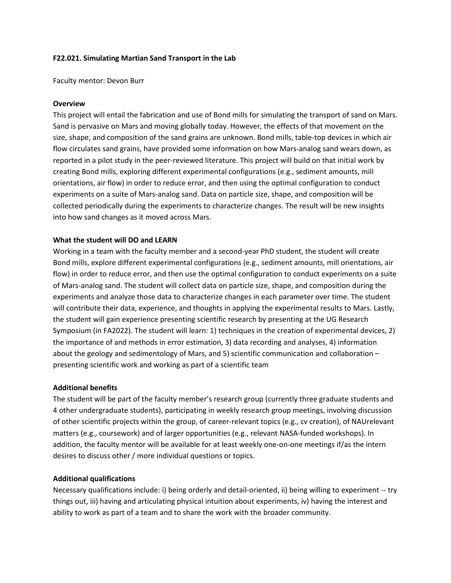# **F22.021. Simulating Martian Sand Transport in the Lab**

Faculty mentor: Devon Burr

## **Overview**

This project will entail the fabrication and use of Bond mills for simulating the transport of sand on Mars. Sand is pervasive on Mars and moving globally today. However, the effects of that movement on the size, shape, and composition of the sand grains are unknown. Bond mills, table-top devices in which air flow circulates sand grains, have provided some information on how Mars-analog sand wears down, as reported in a pilot study in the peer-reviewed literature. This project will build on that initial work by creating Bond mills, exploring different experimental configurations (e.g., sediment amounts, mill orientations, air flow) in order to reduce error, and then using the optimal configuration to conduct experiments on a suite of Mars-analog sand. Data on particle size, shape, and composition will be collected periodically during the experiments to characterize changes. The result will be new insights into how sand changes as it moved across Mars.

## **What the student will DO and LEARN**

Working in a team with the faculty member and a second-year PhD student, the student will create Bond mills, explore different experimental configurations (e.g., sediment amounts, mill orientations, air flow) in order to reduce error, and then use the optimal configuration to conduct experiments on a suite of Mars-analog sand. The student will collect data on particle size, shape, and composition during the experiments and analyze those data to characterize changes in each parameter over time. The student will contribute their data, experience, and thoughts in applying the experimental results to Mars. Lastly, the student will gain experience presenting scientific research by presenting at the UG Research Symposium (in FA2022). The student will learn: 1) techniques in the creation of experimental devices, 2) the importance of and methods in error estimation, 3) data recording and analyses, 4) information about the geology and sedimentology of Mars, and 5) scientific communication and collaboration – presenting scientific work and working as part of a scientific team

## **Additional benefits**

The student will be part of the faculty member's research group (currently three graduate students and 4 other undergraduate students), participating in weekly research group meetings, involving discussion of other scientific projects within the group, of career-relevant topics (e.g., cv creation), of NAUrelevant matters (e.g., coursework) and of larger opportunities (e.g., relevant NASA-funded workshops). In addition, the faculty mentor will be available for at least weekly one-on-one meetings if/as the intern desires to discuss other / more individual questions or topics.

#### **Additional qualifications**

Necessary qualifications include: i) being orderly and detail-oriented, ii) being willing to experiment -- try things out, iii) having and articulating physical intuition about experiments, iv) having the interest and ability to work as part of a team and to share the work with the broader community.